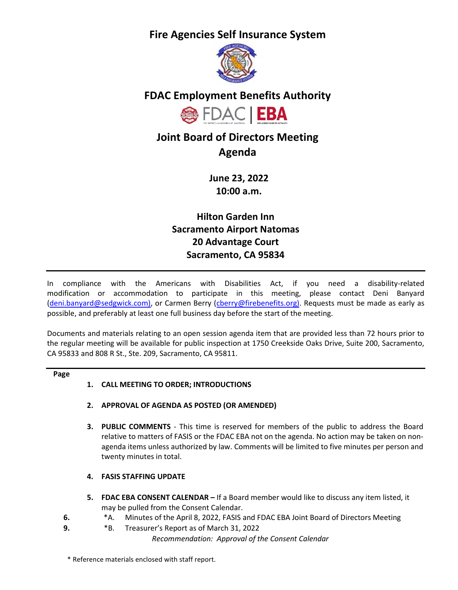**Fire Agencies Self Insurance System**



# **FDAC Employment Benefits Authority**



# **Joint Board of Directors Meeting Agenda**

**June 23, 2022 10:00 a.m.** 

**Hilton Garden Inn Sacramento Airport Natomas 20 Advantage Court Sacramento, CA 95834** 

In compliance with the Americans with Disabilities Act, if you need a disability-related modification or accommodation to participate in this meeting, please contact Deni Banyard [\(deni.banyard@sedgwick.com\)](mailto:deni.banyard@sedgwick.com), or Carmen Berry [\(cberry@firebenefits.org\)](mailto:cberry@firebenefits.org). Requests must be made as early as possible, and preferably at least one full business day before the start of the meeting.

Documents and materials relating to an open session agenda item that are provided less than 72 hours prior to the regular meeting will be available for public inspection at 1750 Creekside Oaks Drive, Suite 200, Sacramento, CA 95833 and 808 R St., Ste. 209, Sacramento, CA 95811.

### **Page**

## **1. CALL MEETING TO ORDER; INTRODUCTIONS**

- **2. APPROVAL OF AGENDA AS POSTED (OR AMENDED)**
- **3. PUBLIC COMMENTS**  This time is reserved for members of the public to address the Board relative to matters of FASIS or the FDAC EBA not on the agenda. No action may be taken on nonagenda items unless authorized by law. Comments will be limited to five minutes per person and twenty minutes in total.

## **4. FASIS STAFFING UPDATE**

- **5. FDAC EBA CONSENT CALENDAR** If a Board member would like to discuss any item listed, it may be pulled from the Consent Calendar.
- **6.** \*A. Minutes of the April 8, 2022, FASIS and FDAC EBA Joint Board of Directors Meeting
- **9.** \*B. Treasurer's Report as of March 31, 2022

*Recommendation: Approval of the Consent Calendar*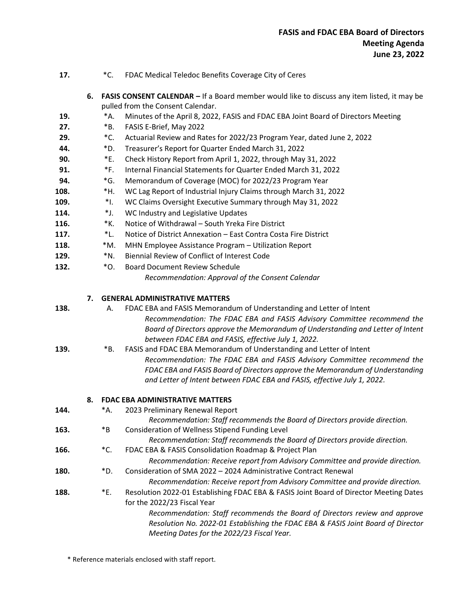| 17. |  | FDAC Medical Teledoc Benefits Coverage City of Ceres |
|-----|--|------------------------------------------------------|
|-----|--|------------------------------------------------------|

**6. FASIS CONSENT CALENDAR –** If a Board member would like to discuss any item listed, it may be pulled from the Consent Calendar.

- **19.** \*A. Minutes of the April 8, 2022, FASIS and FDAC EBA Joint Board of Directors Meeting
- **27.** \*B. FASIS E-Brief, May 2022
- **29.** \*C. Actuarial Review and Rates for 2022/23 Program Year, dated June 2, 2022
- **44.** \*D. Treasurer's Report for Quarter Ended March 31, 2022
- **90.** \*E. Check History Report from April 1, 2022, through May 31, 2022
- **91.** \*F. Internal Financial Statements for Quarter Ended March 31, 2022
- **94.** \*G. Memorandum of Coverage (MOC) for 2022/23 Program Year
- **108.** \*H. WC Lag Report of Industrial Injury Claims through March 31, 2022
- **109.** \*I. WC Claims Oversight Executive Summary through May 31, 2022
- **114.** \*J. WC Industry and Legislative Updates
- **116.** \*K. Notice of Withdrawal South Yreka Fire District
- **117.** \*L. Notice of District Annexation East Contra Costa Fire District
- **118.** \*M. MHN Employee Assistance Program Utilization Report
- **129.** \*N. Biennial Review of Conflict of Interest Code
- **132.** \*O. Board Document Review Schedule

*Recommendation: Approval of the Consent Calendar*

#### **7. GENERAL ADMINISTRATIVE MATTERS**

- 
- **138.** A. FDAC EBA and FASIS Memorandum of Understanding and Letter of Intent *Recommendation: The FDAC EBA and FASIS Advisory Committee recommend the Board of Directors approve the Memorandum of Understanding and Letter of Intent between FDAC EBA and FASIS, effective July 1, 2022.*
- **139.** \*B. FASIS and FDAC EBA Memorandum of Understanding and Letter of Intent *Recommendation: The FDAC EBA and FASIS Advisory Committee recommend the FDAC EBA and FASIS Board of Directors approve the Memorandum of Understanding and Letter of Intent between FDAC EBA and FASIS, effective July 1, 2022.*

### **8. FDAC EBA ADMINISTRATIVE MATTERS**

| 144. | *Α. | 2023 Preliminary Renewal Report                                                        |
|------|-----|----------------------------------------------------------------------------------------|
|      |     | Recommendation: Staff recommends the Board of Directors provide direction.             |
| 163. | *B  | Consideration of Wellness Stipend Funding Level                                        |
|      |     | Recommendation: Staff recommends the Board of Directors provide direction.             |
| 166. | *C. | FDAC EBA & FASIS Consolidation Roadmap & Project Plan                                  |
|      |     | Recommendation: Receive report from Advisory Committee and provide direction.          |
| 180. | *D. | Consideration of SMA 2022 - 2024 Administrative Contract Renewal                       |
|      |     | Recommendation: Receive report from Advisory Committee and provide direction.          |
| 188. | *E. | Resolution 2022-01 Establishing FDAC EBA & FASIS Joint Board of Director Meeting Dates |
|      |     | for the 2022/23 Fiscal Year                                                            |
|      |     | Recommendation: Staff recommends the Board of Directors review and approve             |
|      |     | Resolution No. 2022-01 Establishing the FDAC EBA & FASIS Joint Board of Director       |
|      |     | Meeting Dates for the 2022/23 Fiscal Year.                                             |
|      |     |                                                                                        |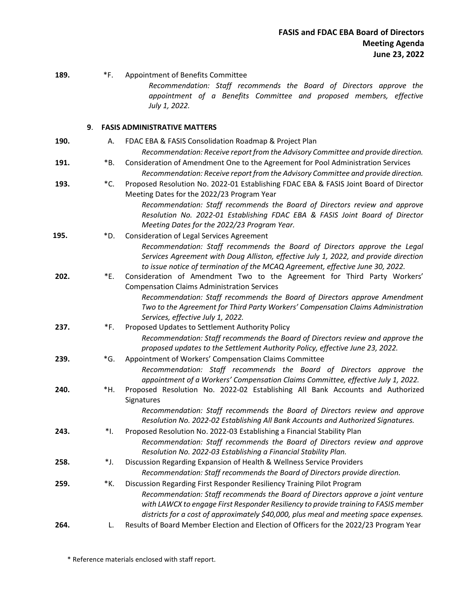| 189. | *F.            | Appointment of Benefits Committee                                                                                                                           |
|------|----------------|-------------------------------------------------------------------------------------------------------------------------------------------------------------|
|      |                | Recommendation: Staff recommends the Board of Directors approve the<br>appointment of a Benefits Committee and proposed members, effective<br>July 1, 2022. |
|      | 9.             | <b>FASIS ADMINISTRATIVE MATTERS</b>                                                                                                                         |
| 190. | А.             | FDAC EBA & FASIS Consolidation Roadmap & Project Plan                                                                                                       |
|      |                | Recommendation: Receive report from the Advisory Committee and provide direction.                                                                           |
| 191. | *B.            | Consideration of Amendment One to the Agreement for Pool Administration Services                                                                            |
|      |                | Recommendation: Receive report from the Advisory Committee and provide direction.                                                                           |
| 193. | *C.            | Proposed Resolution No. 2022-01 Establishing FDAC EBA & FASIS Joint Board of Director                                                                       |
|      |                | Meeting Dates for the 2022/23 Program Year                                                                                                                  |
|      |                | Recommendation: Staff recommends the Board of Directors review and approve<br>Resolution No. 2022-01 Establishing FDAC EBA & FASIS Joint Board of Director  |
|      |                | Meeting Dates for the 2022/23 Program Year.                                                                                                                 |
| 195. | *D.            | <b>Consideration of Legal Services Agreement</b>                                                                                                            |
|      |                | Recommendation: Staff recommends the Board of Directors approve the Legal                                                                                   |
|      |                | Services Agreement with Doug Alliston, effective July 1, 2022, and provide direction                                                                        |
|      |                | to issue notice of termination of the MCAQ Agreement, effective June 30, 2022.                                                                              |
| 202. | *E.            | Consideration of Amendment Two to the Agreement for Third Party Workers'<br><b>Compensation Claims Administration Services</b>                              |
|      |                | Recommendation: Staff recommends the Board of Directors approve Amendment                                                                                   |
|      |                | Two to the Agreement for Third Party Workers' Compensation Claims Administration                                                                            |
|      |                | Services, effective July 1, 2022.                                                                                                                           |
| 237. | *F.            | Proposed Updates to Settlement Authority Policy                                                                                                             |
|      |                | Recommendation: Staff recommends the Board of Directors review and approve the                                                                              |
|      |                | proposed updates to the Settlement Authority Policy, effective June 23, 2022.                                                                               |
| 239. | $\mathbf{G}$ . | Appointment of Workers' Compensation Claims Committee<br>Recommendation: Staff recommends the Board of Directors approve the                                |
|      |                | appointment of a Workers' Compensation Claims Committee, effective July 1, 2022.                                                                            |
| 240. | *н.            | Proposed Resolution No. 2022-02 Establishing All Bank Accounts and Authorized                                                                               |
|      |                | <b>Signatures</b>                                                                                                                                           |
|      |                | Recommendation: Staff recommends the Board of Directors review and approve                                                                                  |
|      |                | Resolution No. 2022-02 Establishing All Bank Accounts and Authorized Signatures.                                                                            |
| 243. | *I.            | Proposed Resolution No. 2022-03 Establishing a Financial Stability Plan                                                                                     |
|      |                | Recommendation: Staff recommends the Board of Directors review and approve<br>Resolution No. 2022-03 Establishing a Financial Stability Plan.               |
| 258. | *J.            | Discussion Regarding Expansion of Health & Wellness Service Providers                                                                                       |
|      |                | Recommendation: Staff recommends the Board of Directors provide direction.                                                                                  |
| 259. | *К.            | Discussion Regarding First Responder Resiliency Training Pilot Program                                                                                      |
|      |                | Recommendation: Staff recommends the Board of Directors approve a joint venture                                                                             |
|      |                | with LAWCX to engage First Responder Resiliency to provide training to FASIS member                                                                         |
|      |                | districts for a cost of approximately \$40,000, plus meal and meeting space expenses.                                                                       |
| 264. | L.             | Results of Board Member Election and Election of Officers for the 2022/23 Program Year                                                                      |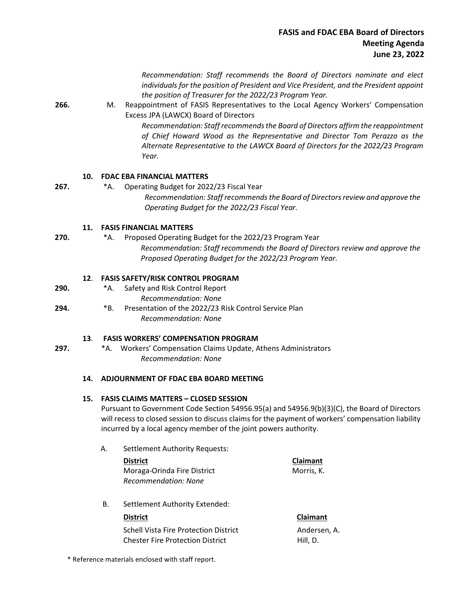*Recommendation: Staff recommends the Board of Directors nominate and elect individuals for the position of President and Vice President, and the President appoint the position of Treasurer for the 2022/23 Program Year.*

**266.** M. Reappointment of FASIS Representatives to the Local Agency Workers' Compensation Excess JPA (LAWCX) Board of Directors

> *Recommendation: Staff recommends the Board of Directors affirm the reappointment of Chief Howard Wood as the Representative and Director Tom Perazzo as the Alternate Representative to the LAWCX Board of Directors for the 2022/23 Program Year.*

### **10. FDAC EBA FINANCIAL MATTERS**

**267.** \*A. Operating Budget for 2022/23 Fiscal Year *Recommendation: Staff recommends the Board of Directors review and approve the Operating Budget for the 2022/23 Fiscal Year.* 

### **11. FASIS FINANCIAL MATTERS**

**270.** \*A. Proposed Operating Budget for the 2022/23 Program Year *Recommendation: Staff recommends the Board of Directors review and approve the Proposed Operating Budget for the 2022/23 Program Year.* 

#### **12**. **FASIS SAFETY/RISK CONTROL PROGRAM**

- **290.** \*A. Safety and Risk Control Report *Recommendation: None*
- **294.** \*B. Presentation of the 2022/23 Risk Control Service Plan *Recommendation: None*

#### **13**. **FASIS WORKERS' COMPENSATION PROGRAM**

**297.** \*A. Workers' Compensation Claims Update, Athens Administrators *Recommendation: None*

### **14. ADJOURNMENT OF FDAC EBA BOARD MEETING**

#### **15. FASIS CLAIMS MATTERS – CLOSED SESSION**

Pursuant to Government Code Section 54956.95(a) and 54956.9(b)(3)(C), the Board of Directors will recess to closed session to discuss claims for the payment of workers' compensation liability incurred by a local agency member of the joint powers authority.

A. Settlement Authority Requests:

| <b>District</b>             | Claimant   |
|-----------------------------|------------|
| Moraga-Orinda Fire District | Morris. K. |
| Recommendation: None        |            |

B. Settlement Authority Extended:

Schell Vista Fire Protection District Chester Fire Protection District

**District Claimant** Andersen, A.

Hill, D.